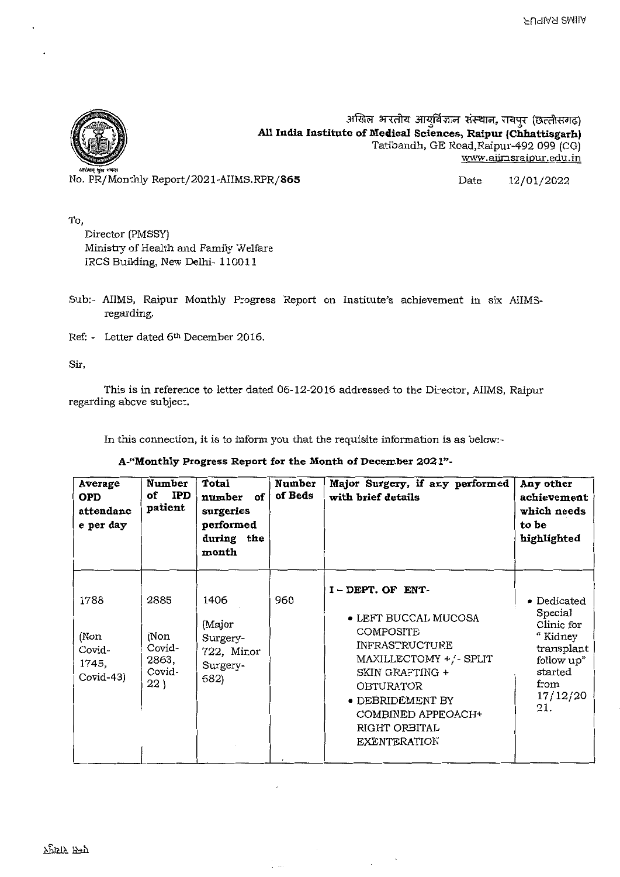

अखिल भारतीय आयुर्विज्ञान संस्थान, रायपुर (छत्तीसगढ़) All India Institute of Medical Sciences, Raipur (Chhattisgarh) Tatibandh, GE Road,Raipur-492 099 (CG) www.aiinsraipur.edu.in

No. PR/Mon:hly Report/2021-AIIMS.RPR/865 Date. 12/01/2022

To,

Director (PMSSY) Ministry of Health and Family Welfare IRCS Building, New Delhi- 110011

- Sub:- AIIMS, Raipur Monthly Progress Report on Institute's achievement in six AIIMSregarding.
- Ref: Letter dated 6th December 2016.

Sir,

This is in reference to letter dated 06-12-2016 addressed to the Director, AIIMS, Raipur regarding abcve subjec:.

In this connection, it is to inform you that the requisite information is as below:-

#### **A-"Monthly Progress Report for the Month of December 2021"-**

 $\ddot{\phantom{a}}$ 

| Average<br><b>OPD</b><br>attendanc<br>e per day | Number<br><b>IPD</b><br>of<br>patient            | Total<br>number of<br>surgeries<br>performed<br>during the<br>month | Number<br>of Beds | Major Surgery, if any performed<br>with brief details                                                                                                                                                                                  | Any other<br>achievement<br>which needs<br>to be<br>highlighted                                                    |
|-------------------------------------------------|--------------------------------------------------|---------------------------------------------------------------------|-------------------|----------------------------------------------------------------------------------------------------------------------------------------------------------------------------------------------------------------------------------------|--------------------------------------------------------------------------------------------------------------------|
| 1788<br>(Non<br>Covid-<br>1745,<br>Covid-43)    | 2885<br>(Non<br>Covid-<br>2863,<br>Covid-<br>22) | 1406<br>(Major<br>Surgery-<br>722, Mir.or<br>Surgery-<br>682)       | 960               | I-DEPT OF ENT-<br>• LEFT BUCCAL MUCOSA<br><b>COMPOSITE</b><br><b>INFRASTRUCTURE</b><br>MAXILLECTOMY +/- SPLIT<br>SKIN GRAFTING +<br><b>OBTURATOR</b><br>• DEBRIDEMENT BY<br>COMBINED APPEOACH+<br>RIGHT ORBITAL<br><b>EXENTERATION</b> | • Dedicated<br>Special<br>Clinic for<br>" Kidney<br>transplant<br>follow up"<br>started<br>from<br>17/12/20<br>21. |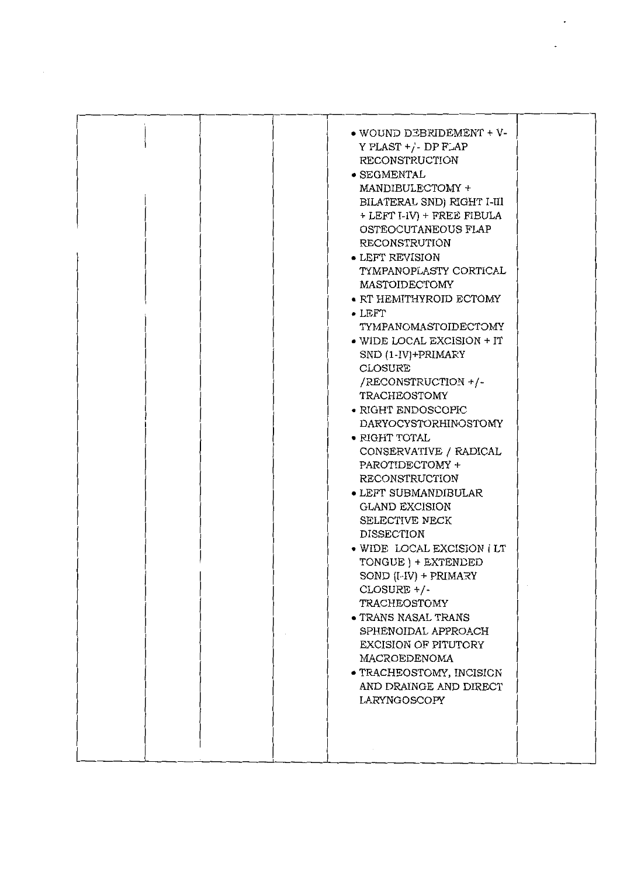|  | • WOUND DEBRIDEMENT + V-<br>Y PLAST $+/-$ DP FLAP<br>RECONSTRUCTION<br>· SEGMENTAL<br>MANDIBULECTOMY +<br>BILATERAL SND) RIGHT I-III<br>+ LEFT I-IV) + FREE FIBULA<br>OSTEOCUTANEOUS FLAP<br><b>RECONSTRUTION</b><br>• LEFT REVISION<br>TYMPANOPLASTY CORTICAL<br>MASTOIDECTOMY<br>• RT HEMITHYROID ECTOMY<br>$\bullet$ LEFT<br>TYMPANOMASTOIDECTOMY<br>. WIDE LOCAL EXCISION + IT<br>SND (1-IV)+PRIMARY<br>CLOSURE<br>/RECONSTRUCTION +/-<br>TRACHEOSTOMY<br>$\bullet$ RIGHT ENDOSCOPIC<br>DARYOCYSTORHINOSTOMY<br>$\bullet$ RIGHT TOTAL<br>CONSERVATIVE / RADICAL<br>PAROTIDECTOMY +<br>RECONSTRUCTION<br>• LEFT SUBMANDIBULAR<br><b>GLAND EXCISION</b><br>SELECTIVE NECK<br><b>DISSECTION</b><br>· WIDE LOCAL EXCISION ( LT<br>TONGUE ) + EXTENDED<br>SOND (I-IV) + PRIMARY<br>CLOSURE +/-<br>TRACHEOSTOMY<br>• TRANS NASAL TRANS<br>SPHENOIDAL APPROACH<br>EXCISION OF PITUTORY<br>MACROEDENOMA<br>· TRACHEOSTOMY, INCISION<br>AND DRAINGE AND DIRECT<br>LARYNGOSCOPY |  |
|--|---------------------------------------------------------------------------------------------------------------------------------------------------------------------------------------------------------------------------------------------------------------------------------------------------------------------------------------------------------------------------------------------------------------------------------------------------------------------------------------------------------------------------------------------------------------------------------------------------------------------------------------------------------------------------------------------------------------------------------------------------------------------------------------------------------------------------------------------------------------------------------------------------------------------------------------------------------------------------|--|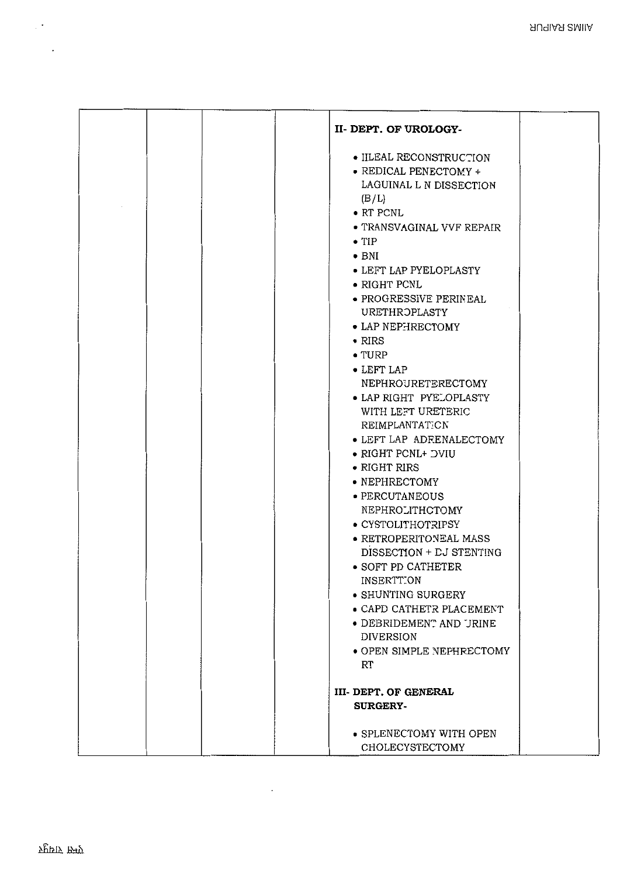| II-DEPT. OF UROLOGY-           |
|--------------------------------|
| · IILEAL RECONSTRUCTION        |
| • REDICAL PENECTOMY +          |
| LAGUINAL L N DISSECTION        |
| (B/L)                          |
| $\bullet$ RT PCNL              |
| • TRANSVAGINAL VVF REPAIR      |
| $\bullet$ TIP                  |
| $\bullet$ BNI                  |
| • LEFT LAP PYELOPLASTY         |
| $\bullet$ RIGHT PCNL           |
| · PROGRESSIVE PERINEAL         |
| <b>URETHROPLASTY</b>           |
| • LAP NEPHRECTOMY              |
| $\bullet$ RIRS                 |
| $\bullet$ TURP                 |
| • LEFT LAP                     |
| NEPHROURETERECTOMY             |
| • LAP RIGHT PYELOPLASTY        |
| WITH LEFT URETERIC             |
| REIMPLANTATICN                 |
| • LEFT LAP ADRENALECTOMY       |
| • RIGHT PCNL+ DVIU             |
| $\bullet$ RIGHT RIRS           |
| • NEPHRECTOMY                  |
| · PERCUTANEOUS                 |
| NEPHROLITHCTOMY                |
| • CYSTOLITHOTRIPSY             |
| $\bullet$ RETROPERITONEAL MASS |
| DISSECTION + LJ STENTING       |
| • SOFT PD CATHETER             |
| <b>INSERTTON</b>               |
| • SHUNTING SURGERY             |
| • CAPD CATHETR PLACEMENT       |
| • DEBRIDEMENT AND JRINE        |
| <b>DIVERSION</b>               |
| • OPEN SIMPLE NEPHRECTOMY      |
| RT                             |
|                                |
| <b>III- DEPT. OF GENERAL</b>   |
| <b>SURGERY-</b>                |
|                                |
| • SPLENECTOMY WITH OPEN        |
| CHOLECYSTECTOMY                |

 $\mathcal{L}_{\text{max}}$  and  $\mathcal{L}_{\text{max}}$ 

 $\mathbb{R}^{2n}$ 

 $\mathcal{L}_{\text{max}}$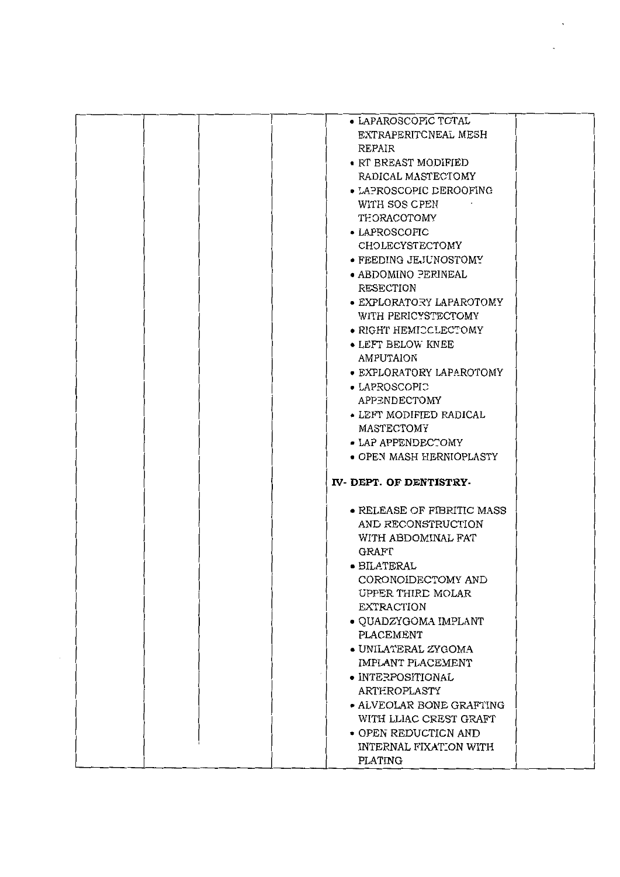|  | • LAPAROSCOPIC TOTAL            |  |
|--|---------------------------------|--|
|  | EXTRAPERITCNEAL MESH            |  |
|  |                                 |  |
|  | REPAIR                          |  |
|  | $\bullet$ RT BREAST MODIFIED    |  |
|  | RADICAL MASTECTOMY              |  |
|  |                                 |  |
|  | • LAPROSCOPIC DEROOFING         |  |
|  | WITH SOS CPEN                   |  |
|  | THORACOTOMY                     |  |
|  |                                 |  |
|  | • LAPROSCOPIC                   |  |
|  | CHOLECYSTECTOMY                 |  |
|  | • FEEDING JEJUNOSTOMY           |  |
|  |                                 |  |
|  | • ABDOMINO PERINEAL             |  |
|  | RESECTION                       |  |
|  |                                 |  |
|  | • EXPLORATORY LAPAROTOMY        |  |
|  | WITH PERICYSTECTOMY             |  |
|  | • RIGHT HEMICCLECTOMY           |  |
|  |                                 |  |
|  | • LEFT BELOW KNEE               |  |
|  | AMPUTAION                       |  |
|  | • EXPLORATORY LAPAROTOMY        |  |
|  |                                 |  |
|  | • LAPROSCOPIC                   |  |
|  | APPENDECTOMY                    |  |
|  | $\bullet$ LEFT MODIFIED RADICAL |  |
|  |                                 |  |
|  | MASTECTOMY                      |  |
|  | • LAP APPENDECTOMY              |  |
|  |                                 |  |
|  |                                 |  |
|  | • OPEN MASH HERNIOPLASTY        |  |
|  |                                 |  |
|  | IV-DEPT. OF DENTISTRY-          |  |
|  |                                 |  |
|  |                                 |  |
|  | • RELEASE OF FIBRITIC MASS      |  |
|  | AND RECONSTRUCTION              |  |
|  | WITH ABDOMINAL FAT              |  |
|  |                                 |  |
|  | GRAFT                           |  |
|  | • BILATERAL                     |  |
|  | CORONOIDECTOMY AND              |  |
|  |                                 |  |
|  | UPPER THIRD MOLAR               |  |
|  | <b>EXTRACTION</b>               |  |
|  | • QUADZYGOMA IMPLANT            |  |
|  |                                 |  |
|  | PLACEMENT                       |  |
|  | · UNILATERAL ZYGOMA             |  |
|  | IMPLANT PLACEMENT               |  |
|  |                                 |  |
|  | · INTERPOSITIONAL               |  |
|  | ARTEROPLASTY                    |  |
|  | • ALVEOLAR BONE GRAFTING        |  |
|  |                                 |  |
|  | WITH LLIAC CREST GRAFT          |  |
|  | • OPEN REDUCTICN AND            |  |
|  | INTERNAL FIXATION WITH          |  |
|  | PLATING                         |  |

 $\bar{\phantom{a}}$ 

 $\bar{\star}$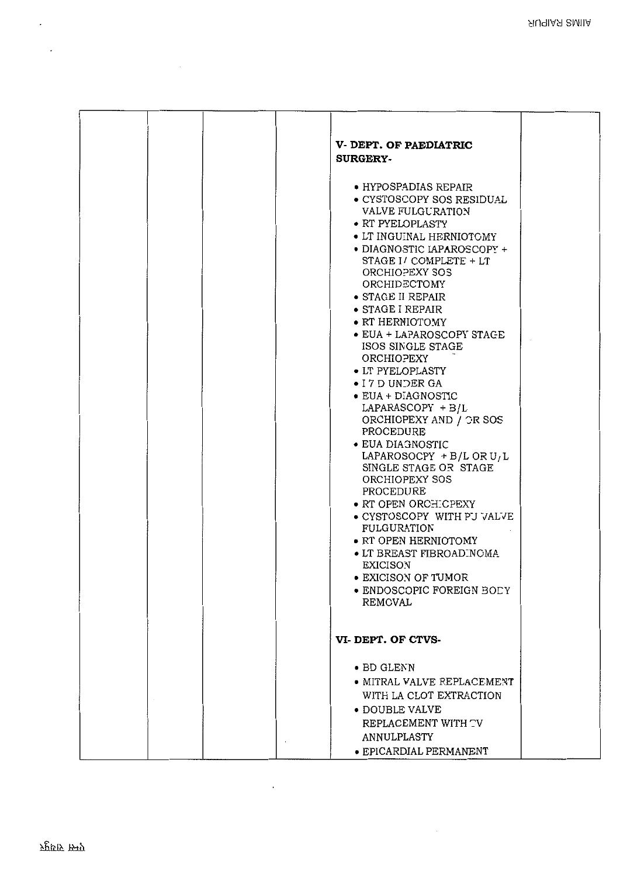| V-DEPT. OF PAEDIATRIC<br><b>SURGERY-</b>                                                                                                                                                                                                                                                                                                                                                                                                                                                                                                                                                                                                                                                                                                                                                                                      |  |
|-------------------------------------------------------------------------------------------------------------------------------------------------------------------------------------------------------------------------------------------------------------------------------------------------------------------------------------------------------------------------------------------------------------------------------------------------------------------------------------------------------------------------------------------------------------------------------------------------------------------------------------------------------------------------------------------------------------------------------------------------------------------------------------------------------------------------------|--|
| • HYPOSPADIAS REPAIR<br>· CYSTOSCOPY SOS RESIDUAL<br>VALVE FULGURATION<br>• RT PYELOPLASTY<br>• LT INGUINAL HERNIOTOMY<br>• DIAGNOSTIC IAPAROSCOPY +<br>STAGE I / COMPLETE + LT<br>ORCHIOPEXY SOS<br>ORCHIDECTOMY<br>$\bullet$ STAGE II REPAIR<br>• STAGE I REPAIR<br>• RT HERNIOTOMY<br>• EUA + LAPAROSCOPY STAGE<br>ISOS SINGLE STAGE<br>ORCHIOPEXY<br>• LT PYELOPLASTY<br>• I 7 D UNDER GA<br>• EUA + DIAGNOSTIC<br>$LAPARASCOPY + B/L$<br>ORCHIOPEXY AND / OR SOS<br>PROCEDURE<br>• EUA DIAGNOSTIC<br>LAPAROSOCPY + B/L OR $U/L$<br>SINGLE STAGE OR STAGE<br>ORCHIOPEXY SOS<br>PROCEDURE<br>• RT OPEN ORCHICPEXY<br>• CYSTOSCOPY WITH PU VALVE<br><b>FULGURATION</b><br>• RT OPEN HERNIOTOMY<br>$\bullet$ LT BREAST FIBROADINOMA<br><b>EXICISON</b><br><b>• EXICISON OF TUMOR</b><br>• ENDOSCOPIC FOREIGN BODY<br>REMOVAL |  |
| VI-DEPT. OF CTVS-                                                                                                                                                                                                                                                                                                                                                                                                                                                                                                                                                                                                                                                                                                                                                                                                             |  |
| $\bullet$ BD GLENN<br>• MITRAL VALVE REPLACEMENT<br>WITH LA CLOT EXTRACTION<br>• DOUBLE VALVE<br>REPLACEMENT WITH TV<br>ANNULPLASTY<br>· EPICARDIAL PERMANENT                                                                                                                                                                                                                                                                                                                                                                                                                                                                                                                                                                                                                                                                 |  |

 $\sim 10^{-11}$ 

 $\ddot{\phantom{0}}$ 

 $\overline{a}$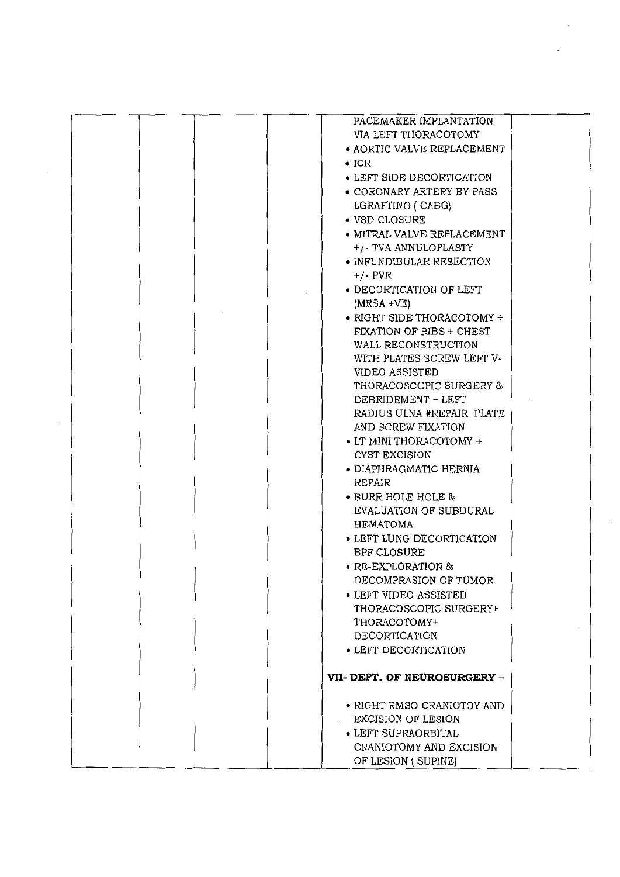| PACEMAKER IMPLANTATION            |  |
|-----------------------------------|--|
| VIA LEFT THORACOTOMY              |  |
| <b>• AORTIC VALVE REPLACEMENT</b> |  |
| $\bullet$ ICR                     |  |
| • LEFT SIDE DECORTICATION         |  |
| • CORONARY ARTERY BY PASS         |  |
| LGRAFTING ( CABG)                 |  |
| • VSD CLOSURE                     |  |
| • MITRAL VALVE REPLACEMENT        |  |
| +/- TVA ANNULOPLASTY              |  |
| · INFUNDIBULAR RESECTION          |  |
| $+/-$ PVR                         |  |
| • DECORTICATION OF LEFT           |  |
| $(MRSA + VE)$                     |  |
| • RIGHT SIDE THORACOTOMY +        |  |
| FIXATION OF RIBS + CHEST          |  |
| WALL RECONSTRUCTION               |  |
| WITH PLATES SCREW LEFT V-         |  |
| VIDEO ASSISTED                    |  |
| THORACOSCCPIC SURGERY &           |  |
| DEBRIDEMENT - LEFT                |  |
| RADIUS ULNA #REPAIR PLATE         |  |
| AND SCREW FIXATION                |  |
| • LT MINI THORACOTOMY +           |  |
| CYST EXCISION                     |  |
| • DIAPHRAGMATIC HERNIA            |  |
| REPAIR                            |  |
| • BURR HOLE HOLE &                |  |
| EVALUATION OF SUBDURAL            |  |
| HEMATOMA                          |  |
| • LEFT LUNG DECORTICATION         |  |
| <b>BPF CLOSURE</b>                |  |
| • RE-EXPLORATION &                |  |
| DECOMPRASION OF TUMOR             |  |
| $\bullet$ LEFT VIDEO ASSISTED     |  |
| THORACOSCOPIC SURGERY+            |  |
| THORACOTOMY+                      |  |
| DECORTICATION                     |  |
| • LEFT DECORTICATION              |  |
|                                   |  |
| VII-DEPT. OF NEUROSURGERY -       |  |
|                                   |  |
| • RIGHT RMSO CRANIOTOY AND        |  |
| EXCISION OF LESION                |  |
| • LEFT SUPRAORBITAL               |  |
| CRANIOTOMY AND EXCISION           |  |
| OF LESION (SUPINE)                |  |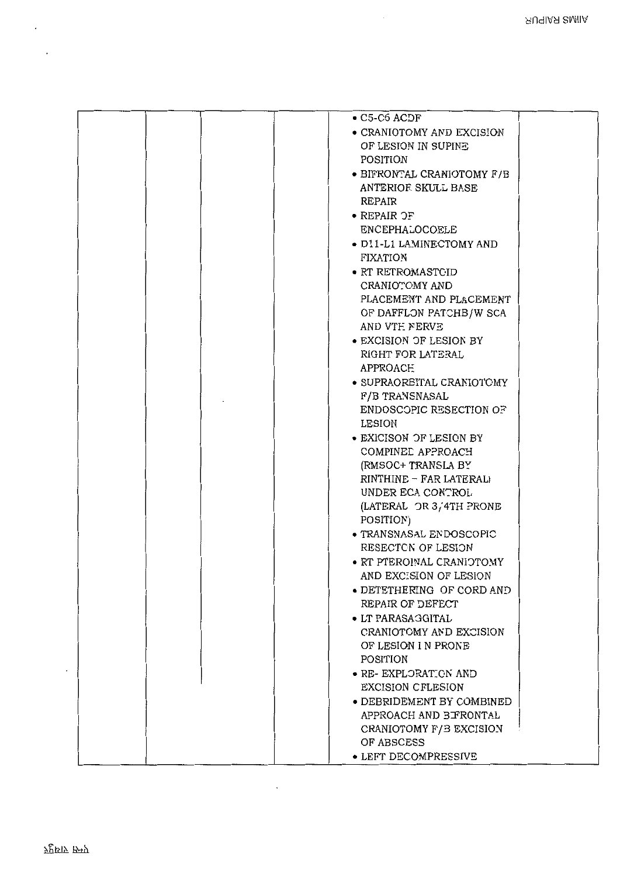|  | $\bullet$ C5-C6 ACDF             |
|--|----------------------------------|
|  | • CRANIOTOMY AND EXCISION        |
|  | OF LESION IN SUPINE              |
|  |                                  |
|  | POSITION                         |
|  | · BIFRONTAL CRANIOTOMY F/B       |
|  | ANTERIOR SKULL BASE              |
|  | REPAIR                           |
|  |                                  |
|  | $\bullet$ REPAIR $\mathcal{Q}$ F |
|  | ENCEPHALOCOELE                   |
|  | · D11-L1 LAMINECTOMY AND         |
|  | <b>FIXATION</b>                  |
|  |                                  |
|  | · RT RETROMASTCID                |
|  | CRANIOTOMY AND                   |
|  | PLACEMENT AND PLACEMENT          |
|  |                                  |
|  | OF DAFFLON PATCHB/W SCA          |
|  | AND VTE NERVE                    |
|  | • EXCISION OF LESION BY          |
|  | RIGHT FOR LATERAL                |
|  | APPROACE                         |
|  |                                  |
|  | · SUPRAORBITAL CRANIOTOMY        |
|  | F/B TRANSNASAL                   |
|  | ENDOSCOPIC RESECTION OF          |
|  | LESION                           |
|  | • EXICISON OF LESION BY          |
|  |                                  |
|  | COMPINED APPROACH                |
|  | (RMSOC+ TRANSLA BY)              |
|  | RINTHINE - FAR LATERALI          |
|  | UNDER ECA CONTROL                |
|  | (LATERAL OR 3/4TH PRONE          |
|  |                                  |
|  | POSITION)                        |
|  | · TRANSNASAL ENDOSCOPIC          |
|  | RESECTON OF LESION               |
|  | • RT PTEROINAL CRANIOTOMY        |
|  | AND EXCISION OF LESION           |
|  |                                  |
|  | • DETETHERING OF CORD AND        |
|  | REPAIR OF DEFECT                 |
|  | • LT PARASAGGITAL                |
|  | CRANIOTOMY AND EXCISION          |
|  |                                  |
|  | OF LESION I N PRONE              |
|  | POSITION                         |
|  | • RE- EXPLORATION AND            |
|  | <b>EXCISION CFLESION</b>         |
|  | • DEBRIDEMENT BY COMBINED        |
|  |                                  |
|  | APPROACH AND BIFRONTAL           |
|  | CRANIOTOMY F/B EXCISION          |
|  | OF ABSCESS                       |
|  | • LEFT DECOMPRESSIVE             |
|  |                                  |

 $\cdot$ 

 $\ddot{\phantom{0}}$ 

 $\cdot$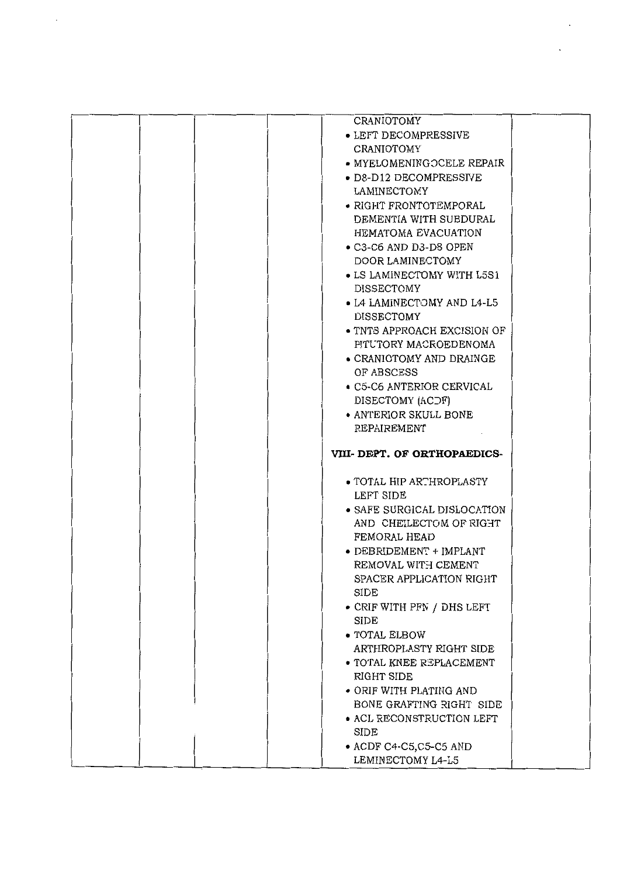|  | CRANIOTOMY                                                                       |  |
|--|----------------------------------------------------------------------------------|--|
|  | $\bullet$ LEFT DECOMPRESSIVE                                                     |  |
|  | CRANIOTOMY                                                                       |  |
|  | • MYELOMENINGOCELE REPAIR                                                        |  |
|  | · D8-D12 DECOMPRESSIVE                                                           |  |
|  | LAMINECTOMY                                                                      |  |
|  |                                                                                  |  |
|  | • RIGHT FRONTOTEMPORAL                                                           |  |
|  | DEMENTIA WITH SUBDURAL                                                           |  |
|  | HEMATOMA EVACUATION                                                              |  |
|  | $\bullet$ C <sub>3</sub> -C <sub>6</sub> AND D <sub>3</sub> -D <sub>8</sub> OPEN |  |
|  | DOOR LAMINECTOMY                                                                 |  |
|  | • LS LAMINECTOMY WITH L5S1                                                       |  |
|  | <b>DISSECTOMY</b>                                                                |  |
|  | • L4 LAMINECTOMY AND L4-L5                                                       |  |
|  | <b>DISSECTOMY</b>                                                                |  |
|  | • TNTS APPROACH EXCISION OF                                                      |  |
|  | PITUTORY MACROEDENOMA                                                            |  |
|  | • CRANIOTOMY AND DRAINGE                                                         |  |
|  | OF ABSCESS                                                                       |  |
|  |                                                                                  |  |
|  | • C5-C6 ANTERIOR CERVICAL                                                        |  |
|  | DISECTOMY (ACDF)                                                                 |  |
|  | • ANTERIOR SKULL BONE                                                            |  |
|  | REPAIREMENT                                                                      |  |
|  |                                                                                  |  |
|  |                                                                                  |  |
|  | VIII- DEPT. OF ORTHOPAEDICS-                                                     |  |
|  |                                                                                  |  |
|  | • TOTAL HIP ARTHROPLASTY                                                         |  |
|  | LEFT SIDE                                                                        |  |
|  | • SAFE SURGICAL DISLOCATION                                                      |  |
|  | AND CHEILECTOM OF RIGHT                                                          |  |
|  | FEMORAL HEAD                                                                     |  |
|  |                                                                                  |  |
|  | • DEBRIDEMENT + IMPLANT                                                          |  |
|  | REMOVAL WITH CEMENT                                                              |  |
|  | SPACER APPLICATION RIGHT                                                         |  |
|  | SIDE                                                                             |  |
|  | • CRIF WITH PFN / DHS LEFT                                                       |  |
|  | SIDE                                                                             |  |
|  | • TOTAL ELBOW                                                                    |  |
|  | ARTHROPLASTY RIGHT SIDE                                                          |  |
|  | <b>• TOTAL KNEE REPLACEMENT</b>                                                  |  |
|  | RIGHT SIDE                                                                       |  |
|  | • ORIF WITH PLATING AND                                                          |  |
|  | BONE GRAFTING RIGHT SIDE                                                         |  |
|  | • ACL RECONSTRUCTION LEFT                                                        |  |
|  | SIDE                                                                             |  |
|  |                                                                                  |  |
|  | $\bullet$ ACDF C4-C5, C5-C5 AND<br>LEMINECTOMY L4-L5                             |  |

 $\ddot{\phantom{a}}$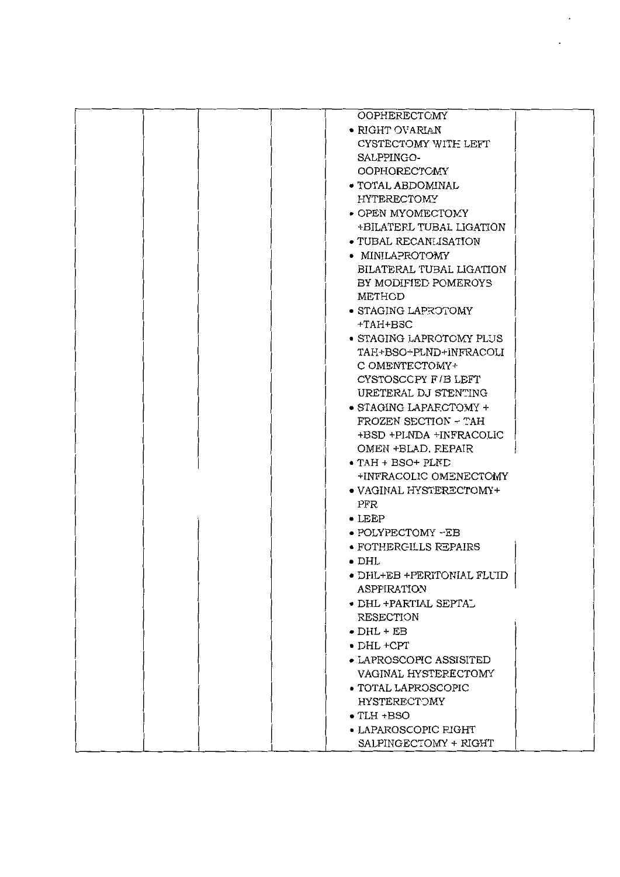|  | OOPHERECTOMY                    |  |
|--|---------------------------------|--|
|  | $\bullet$ RIGHT OVARIAN         |  |
|  | CYSTECTOMY WITH LEFT            |  |
|  | SALPPINGO-                      |  |
|  | <b>OOPHORECTOMY</b>             |  |
|  | • TOTAL ABDOMINAL               |  |
|  | <b>HYTERECTOMY</b>              |  |
|  | • OPEN MYOMECTOMY               |  |
|  | +BILATERL TUBAL LIGATION        |  |
|  | • TUBAL RECANLISATION           |  |
|  | • MINILAPROTOMY                 |  |
|  | BILATERAL TUBAL LIGATION        |  |
|  | BY MODIFIED POMEROYS            |  |
|  | METHOD                          |  |
|  | • STAGING LAPROTOMY             |  |
|  | +TAH+BSC                        |  |
|  | • STAGING LAPROTOMY PLUS        |  |
|  | TAH+BSO-PLND+INFRACOLI          |  |
|  | C OMENTECTOMY+                  |  |
|  | CYSTOSCCPY F/B LEFT             |  |
|  | URETERAL DJ STENTING            |  |
|  | • STAGING LAPARCTOMY +          |  |
|  | FROZEN SECTION - TAH            |  |
|  | +BSD +PLNDA +INFRACOLIC         |  |
|  | OMEN +BLAD, FEPAIR              |  |
|  | $\bullet$ TAH + BSO+ PLND       |  |
|  | +INFRACOLIC OMENECTOMY          |  |
|  | • VAGINAL HYSTERECTOMY+         |  |
|  | PFR                             |  |
|  | $\bullet$ LEEP                  |  |
|  | • POLYPECTOMY -EB               |  |
|  | • FOTHERGILLS REPAIRS           |  |
|  | $\bullet$ DHL                   |  |
|  | • DHL+EB +PERITONIAL FLUID      |  |
|  | ASPPIRATION                     |  |
|  | $\bullet$ DHL +PARTIAL SEPTAL   |  |
|  | RESECTION                       |  |
|  | $\bullet$ DHL + EB              |  |
|  | $\bullet$ DHL +CPT              |  |
|  | $\bullet$ LAPROSCOPIC ASSISITED |  |
|  | VAGINAL HYSTERECTOMY            |  |
|  | • TOTAL LAPROSCOPIC             |  |
|  | <b>HYSTERECTOMY</b>             |  |
|  | $\bullet$ TLH +BSO              |  |
|  | • LAPAROSCOPIC RIGHT            |  |
|  | SALPINGECTOMY + RIGHT           |  |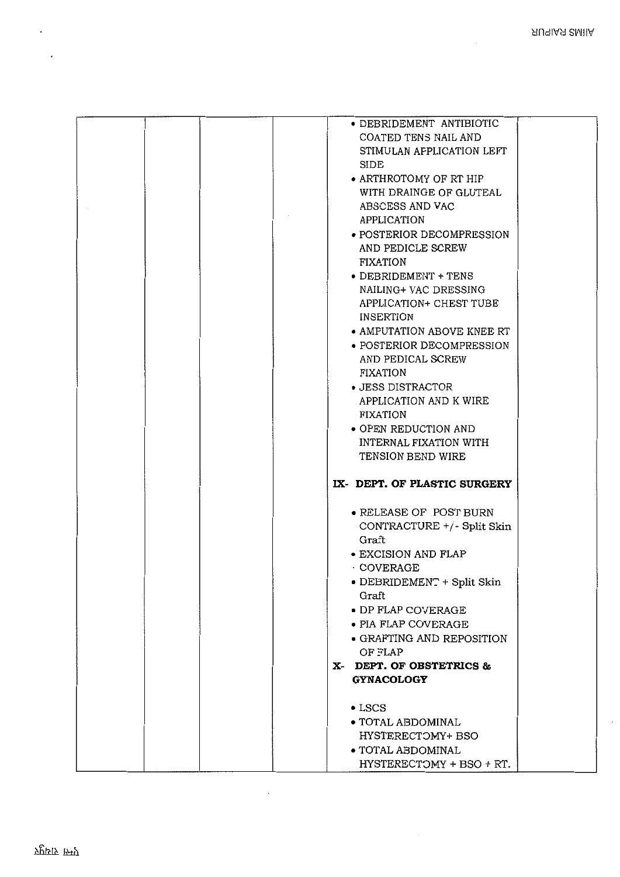$\overline{a}$ 

|  | • DEBRIDEMENT ANTIBIOTIC<br>COATED TENS NAIL AND<br>STIMULAN AFPLICATION LEFT<br>SIDE<br>• ARTHROTOMY OF RT HIP<br>WITH DRAINGE OF GLUTEAL<br>ABSCESS AND VAC<br>APPLICATION<br>• POSTERIOR DECOMPRESSION<br>AND PEDICLE SCREW<br>FIXATION<br>• DEBRIDEMENT + TENS |
|--|--------------------------------------------------------------------------------------------------------------------------------------------------------------------------------------------------------------------------------------------------------------------|
|  | NAILING+ VAC DRESSING<br>APPLICATION+ CHEST TUBE<br>INSERTION<br>• AMPUTATION ABOVE KNEE RT<br>• POSTERIOR DECOMPRESSION<br>AND PEDICAL SCREW                                                                                                                      |
|  | FIXATION<br>• JESS DISTRACTOR<br>APPLICATION AND K WIRE<br>FIXATION<br>• OPEN REDUCTION AND                                                                                                                                                                        |
|  | INTERNAL FIXATION WITH<br>TENSION BEND WIRE<br>IX- DEPT. OF PLASTIC SURGERY                                                                                                                                                                                        |
|  | • RELEASE OF POST BURN<br>CONTRACTURE +/- Split Skin<br>Graft<br><b>• EXCISION AND FLAP</b><br>COVERAGE<br>· DEBRIDEMENT + Split Skin<br>Graft<br>• DP FLAP COVERAGE<br>$\bullet$ PIA FLAP COVERAGE                                                                |
|  | • GRAFTING AND REPOSITION<br>OF FLAP<br>X- DEPT. OF OBSTETRICS &<br><b>GYNACOLOGY</b>                                                                                                                                                                              |
|  | $\bullet$ LSCS<br>· TOTAL ABDOMINAL<br>HYSTERECTOMY+ BSO<br>• TOTAL ABDOMINAL<br>HYSTERECTOMY + BSO + RT.                                                                                                                                                          |

 $\ddot{\phantom{0}}$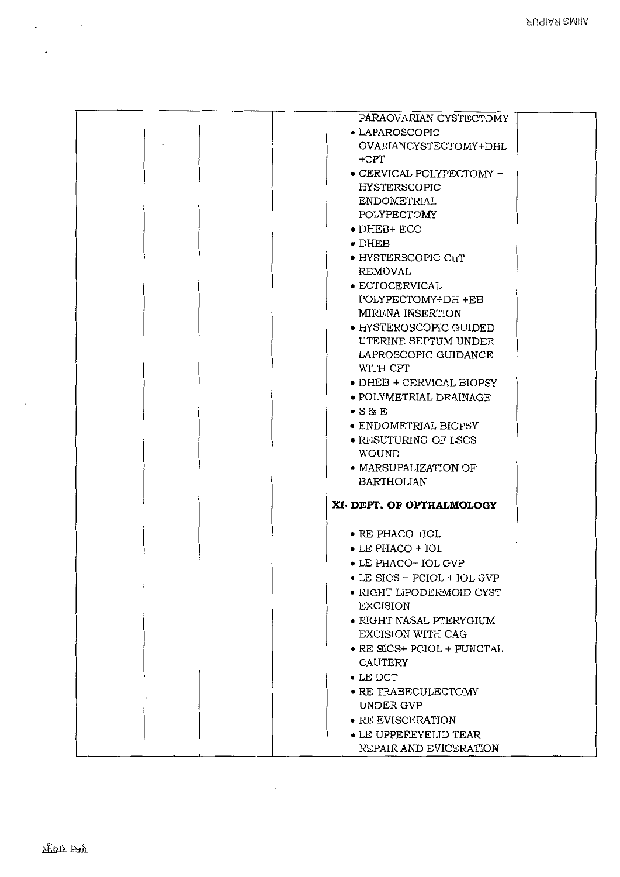| PARAOVARIAN CYSTECTOMY<br>• LAPAROSCOPIC<br>OVARIANCYSTECTOMY+DHL<br>+CPT<br>$\bullet$ CERVICAL PCLYPECTOMY $\texttt{+}$<br><b>HYSTERSCOPIC</b><br><b>ENDOMETRIAL</b><br>POLYPECTOMY<br>$\bullet$ DHEB+ ECC<br>$\bullet$ DHEB<br>• HYSTERSCOPIC CuT<br>REMOVAL<br>• ECTOCERVICAL<br>POLYPECTOMY+DH +EB<br>MIRENA INSERTION<br>• HYSTEROSCOPIC GUIDED<br>UTERINE SEPTUM UNDER<br>LAPROSCOPIC GUIDANCE<br>WITH CPT<br>$\bullet$ DHEB + CERVICAL BIOPSY<br>$\bullet$ POLYMETRIAL DRAINAGE<br>$\bullet$ S & E<br>$\bullet$ ENDOMETRIAL BICPSY<br>• RESUTURING OF LSCS<br><b>WOUND</b><br>• MARSUPALIZATION OF<br><b>BARTHOLIAN</b><br>XI- DEPT. OF OPTHALMOLOGY<br>$\bullet$ RE PHACO +ICL<br>$\bullet$ LE PHACO + IOL<br>• LE PHACO+ IOL GVP<br>$\bullet$ LE SICS + PCIOL + IOL GVP<br>• RIGHT LIPODERMOID CYST<br><b>EXCISION</b><br>• RIGHT NASAL PTERYGIUM |                   |
|------------------------------------------------------------------------------------------------------------------------------------------------------------------------------------------------------------------------------------------------------------------------------------------------------------------------------------------------------------------------------------------------------------------------------------------------------------------------------------------------------------------------------------------------------------------------------------------------------------------------------------------------------------------------------------------------------------------------------------------------------------------------------------------------------------------------------------------------------------|-------------------|
|                                                                                                                                                                                                                                                                                                                                                                                                                                                                                                                                                                                                                                                                                                                                                                                                                                                            |                   |
|                                                                                                                                                                                                                                                                                                                                                                                                                                                                                                                                                                                                                                                                                                                                                                                                                                                            |                   |
|                                                                                                                                                                                                                                                                                                                                                                                                                                                                                                                                                                                                                                                                                                                                                                                                                                                            |                   |
|                                                                                                                                                                                                                                                                                                                                                                                                                                                                                                                                                                                                                                                                                                                                                                                                                                                            |                   |
|                                                                                                                                                                                                                                                                                                                                                                                                                                                                                                                                                                                                                                                                                                                                                                                                                                                            |                   |
|                                                                                                                                                                                                                                                                                                                                                                                                                                                                                                                                                                                                                                                                                                                                                                                                                                                            |                   |
|                                                                                                                                                                                                                                                                                                                                                                                                                                                                                                                                                                                                                                                                                                                                                                                                                                                            |                   |
|                                                                                                                                                                                                                                                                                                                                                                                                                                                                                                                                                                                                                                                                                                                                                                                                                                                            |                   |
|                                                                                                                                                                                                                                                                                                                                                                                                                                                                                                                                                                                                                                                                                                                                                                                                                                                            |                   |
|                                                                                                                                                                                                                                                                                                                                                                                                                                                                                                                                                                                                                                                                                                                                                                                                                                                            |                   |
|                                                                                                                                                                                                                                                                                                                                                                                                                                                                                                                                                                                                                                                                                                                                                                                                                                                            |                   |
|                                                                                                                                                                                                                                                                                                                                                                                                                                                                                                                                                                                                                                                                                                                                                                                                                                                            |                   |
|                                                                                                                                                                                                                                                                                                                                                                                                                                                                                                                                                                                                                                                                                                                                                                                                                                                            |                   |
|                                                                                                                                                                                                                                                                                                                                                                                                                                                                                                                                                                                                                                                                                                                                                                                                                                                            |                   |
|                                                                                                                                                                                                                                                                                                                                                                                                                                                                                                                                                                                                                                                                                                                                                                                                                                                            |                   |
|                                                                                                                                                                                                                                                                                                                                                                                                                                                                                                                                                                                                                                                                                                                                                                                                                                                            |                   |
|                                                                                                                                                                                                                                                                                                                                                                                                                                                                                                                                                                                                                                                                                                                                                                                                                                                            |                   |
|                                                                                                                                                                                                                                                                                                                                                                                                                                                                                                                                                                                                                                                                                                                                                                                                                                                            |                   |
|                                                                                                                                                                                                                                                                                                                                                                                                                                                                                                                                                                                                                                                                                                                                                                                                                                                            |                   |
|                                                                                                                                                                                                                                                                                                                                                                                                                                                                                                                                                                                                                                                                                                                                                                                                                                                            |                   |
|                                                                                                                                                                                                                                                                                                                                                                                                                                                                                                                                                                                                                                                                                                                                                                                                                                                            |                   |
|                                                                                                                                                                                                                                                                                                                                                                                                                                                                                                                                                                                                                                                                                                                                                                                                                                                            |                   |
|                                                                                                                                                                                                                                                                                                                                                                                                                                                                                                                                                                                                                                                                                                                                                                                                                                                            |                   |
|                                                                                                                                                                                                                                                                                                                                                                                                                                                                                                                                                                                                                                                                                                                                                                                                                                                            |                   |
|                                                                                                                                                                                                                                                                                                                                                                                                                                                                                                                                                                                                                                                                                                                                                                                                                                                            |                   |
|                                                                                                                                                                                                                                                                                                                                                                                                                                                                                                                                                                                                                                                                                                                                                                                                                                                            |                   |
|                                                                                                                                                                                                                                                                                                                                                                                                                                                                                                                                                                                                                                                                                                                                                                                                                                                            |                   |
|                                                                                                                                                                                                                                                                                                                                                                                                                                                                                                                                                                                                                                                                                                                                                                                                                                                            |                   |
|                                                                                                                                                                                                                                                                                                                                                                                                                                                                                                                                                                                                                                                                                                                                                                                                                                                            |                   |
|                                                                                                                                                                                                                                                                                                                                                                                                                                                                                                                                                                                                                                                                                                                                                                                                                                                            |                   |
|                                                                                                                                                                                                                                                                                                                                                                                                                                                                                                                                                                                                                                                                                                                                                                                                                                                            |                   |
|                                                                                                                                                                                                                                                                                                                                                                                                                                                                                                                                                                                                                                                                                                                                                                                                                                                            |                   |
|                                                                                                                                                                                                                                                                                                                                                                                                                                                                                                                                                                                                                                                                                                                                                                                                                                                            |                   |
|                                                                                                                                                                                                                                                                                                                                                                                                                                                                                                                                                                                                                                                                                                                                                                                                                                                            |                   |
|                                                                                                                                                                                                                                                                                                                                                                                                                                                                                                                                                                                                                                                                                                                                                                                                                                                            |                   |
|                                                                                                                                                                                                                                                                                                                                                                                                                                                                                                                                                                                                                                                                                                                                                                                                                                                            |                   |
|                                                                                                                                                                                                                                                                                                                                                                                                                                                                                                                                                                                                                                                                                                                                                                                                                                                            | EXCISION WITH CAG |
| • RE SICS+ PCIOL + PUNCTAL                                                                                                                                                                                                                                                                                                                                                                                                                                                                                                                                                                                                                                                                                                                                                                                                                                 |                   |
| CAUTERY                                                                                                                                                                                                                                                                                                                                                                                                                                                                                                                                                                                                                                                                                                                                                                                                                                                    |                   |
| $\bullet$ LE DCT                                                                                                                                                                                                                                                                                                                                                                                                                                                                                                                                                                                                                                                                                                                                                                                                                                           |                   |
| • RE TRABECULECTOMY                                                                                                                                                                                                                                                                                                                                                                                                                                                                                                                                                                                                                                                                                                                                                                                                                                        |                   |
| UNDER GVP                                                                                                                                                                                                                                                                                                                                                                                                                                                                                                                                                                                                                                                                                                                                                                                                                                                  |                   |
| • RE EVISCERATION                                                                                                                                                                                                                                                                                                                                                                                                                                                                                                                                                                                                                                                                                                                                                                                                                                          |                   |
| $\bullet$ LE UPPEREYELID TEAR                                                                                                                                                                                                                                                                                                                                                                                                                                                                                                                                                                                                                                                                                                                                                                                                                              |                   |
| REPAIR AND EVICERATION                                                                                                                                                                                                                                                                                                                                                                                                                                                                                                                                                                                                                                                                                                                                                                                                                                     |                   |

 $\mathcal{L}^{\pm}$ 

 $\overline{a}$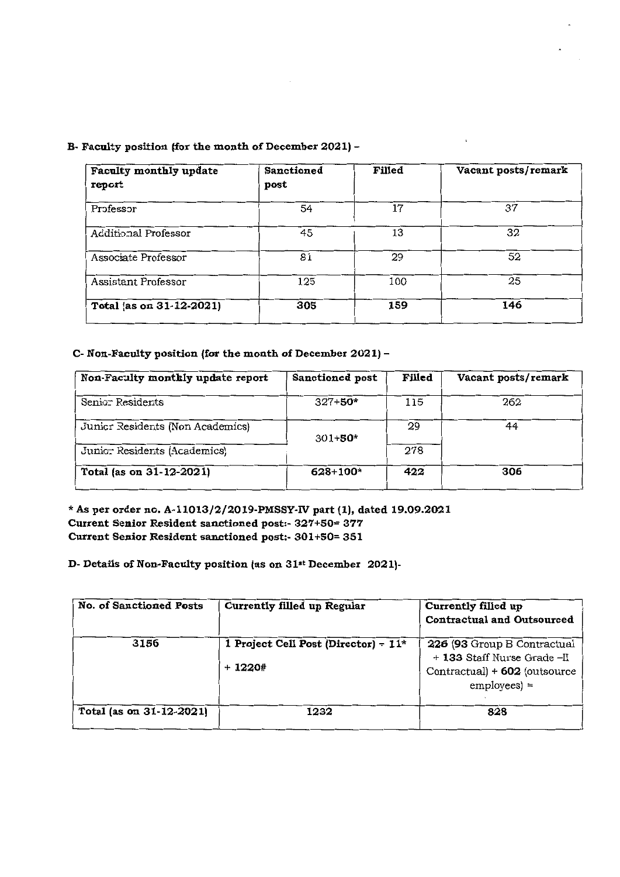B~ **Faculty position (for the month of December 2021) -**

| Faculty monthly update<br>report | <b>Sanctioned</b><br>post | Filled | Vacant posts/remark |
|----------------------------------|---------------------------|--------|---------------------|
| Professor                        | 54                        | 17     | 37                  |
| Additional Professor             | 45                        | 13     | 32                  |
| Associate Professor              | 81                        | 29     | 52                  |
| Assistant Professor              | 125                       | 100    | 25                  |
| Total (as on 31-12-2021)         | 305                       | 159    | 146                 |

# **C- Non-Faculty position (for the month of December 2021)-**

| Non-Faculty monthly update report | <b>Sanctioned post</b> | Filled | Vacant posts/remark |
|-----------------------------------|------------------------|--------|---------------------|
| Senior Residents                  | $327 + 50*$            | 115    | 262                 |
| Junicr Residents (Non Academics)  | $301 + 50*$            | 29     | 44                  |
| Junio: Residents (Academics)      |                        | 278    |                     |
| Total (as on 31-12-2021)          | $628 + 100*$           | 422    | 306                 |

\* **As per o:rderno. A-l1013/2/2019-PMSSY-IV part (1), dated 19.09.2021 Current Senior Resident sanctioned post:- 327+50= 377 Current Senior Resident sanctioned post:- 301+50= 351**

**D- Details of Non-Faculty position (as on 31·<sup>t</sup> December 2021)-**

| <b>No. of Sanctioned Posts</b> | Currently filled up Regular                         | Currently filled up<br><b>Contractual and Outsourced</b>                                                   |
|--------------------------------|-----------------------------------------------------|------------------------------------------------------------------------------------------------------------|
| 3156                           | 1 Project Cell Post (Director) - $11^*$<br>$+1220+$ | 226 (93 Group B Contractual<br>+ 133 Staff Nurse Grade-II<br>Contractual) + 602 (outsource<br>$employes$ = |
| Total (as on 31-12-2021)       | 1232                                                | 828                                                                                                        |